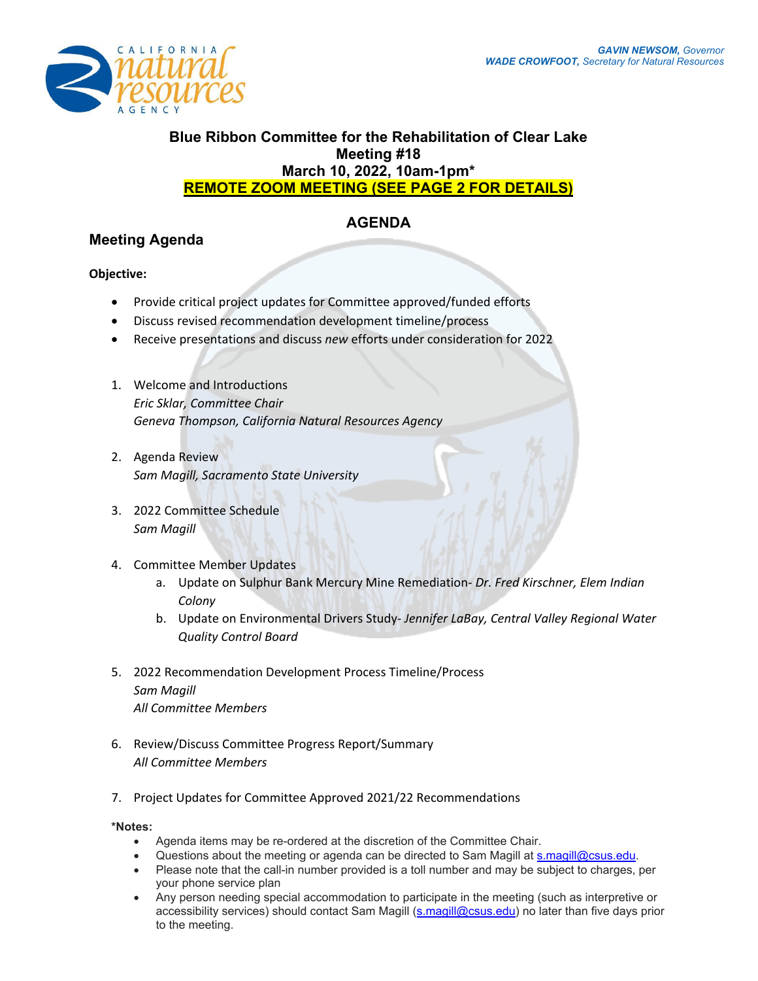

### **Blue Ribbon Committee for the Rehabilitation of Clear Lake Meeting #18 March 10, 2022, 10am-1pm\* REMOTE ZOOM MEETING (SEE PAGE 2 FOR DETAILS)**

# **AGENDA**

## **Meeting Agenda**

### **Objective:**

- Provide critical project updates for Committee approved/funded efforts
- Discuss revised recommendation development timeline/process
- Receive presentations and discuss *new* efforts under consideration for 2022
- 1. Welcome and Introductions *Eric Sklar, Committee Chair Geneva Thompson, California Natural Resources Agency*
- 2. Agenda Review *Sam Magill, Sacramento State University*
- 3. 2022 Committee Schedule *Sam Magill*
- 4. Committee Member Updates
	- a. Update on Sulphur Bank Mercury Mine Remediation- *Dr. Fred Kirschner, Elem Indian Colony*
	- b. Update on Environmental Drivers Study- *Jennifer LaBay, Central Valley Regional Water Quality Control Board*
- 5. 2022 Recommendation Development Process Timeline/Process *Sam Magill All Committee Members*
- 6. Review/Discuss Committee Progress Report/Summary *All Committee Members*
- 7. Project Updates for Committee Approved 2021/22 Recommendations

#### **\*Notes:**

- Agenda items may be re-ordered at the discretion of the Committee Chair.
- Questions about the meeting or agenda can be directed to Sam Magill at [s.magill@csus.edu.](mailto:s.magill@csus.edu)
- Please note that the call-in number provided is a toll number and may be subject to charges, per your phone service plan
- Any person needing special accommodation to participate in the meeting (such as interpretive or accessibility services) should contact Sam Magill [\(s.magill@csus.edu\)](mailto:s.magill@csus.edu) no later than five days prior to the meeting.